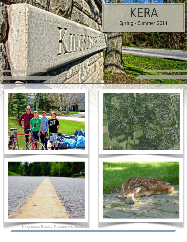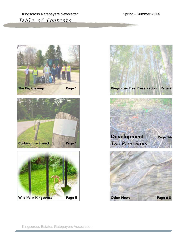







Kingscross Estates Ratepayers Association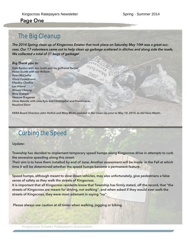**Page One**

# The Big Cleanup

*The 2014 Spring clean up of Kingscross Estates that took place on Saturday May 10th was a great success. Our 17 volunteers came out to help clean up garbage scattered in ditches and along side the roads. We collected a total of 31 bags of garbage!*

#### *Big Thank you to:*

*Dale Banton with son Justin and his girlfriend Rachel Helen Scarth with son William Peter McCarthy Vince Oppedisano Khushru Chothia Lex Vriend Winnie Cheung Nina Graham Vanessa Braganza Omar Balodis with sons Kyle and Christopher and friend Lucas Rosalind Elson* 

*KERA Board Directors John Hollick and Mary Muter assisted in the Clean-Up prior to May 10, 2014, as did Hans Martin.* 

# Curbing the Speed

**Update:**

**Township has decided to implement temporary speed humps along Kingscross drive in attempts to curb the excessive speeding along this street.**

**Their aim is to have them installed by end of June. Another assessment will be made in the Fall at which time it will be determined whether the speed humps become a permanent feature.**

**Speed humps, although meant to slow down vehicles, may also unfortunately, give pedestrians a false sense of safety as they walk the streets of Kingscross.**

**It is important that all Kingscross residents know that Township has firmly stated, off the record, that "the streets of Kingscross are meant for driving, not walking", and when asked if they would ever walk the streets of Kingscross, they were most adamant in saying "no".**

**Please always use caution at all times when walking, jogging or biking.**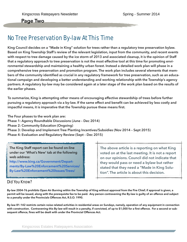# No Tree Preservation By-law At This Time

**King Council decides on a "Made in King" solution for trees rather than a regulatory tree preservation bylaw. Based on King Township Staff's review of the relevant legislation, input from the community, and recent events with respect to tree damage caused by the ice storm of 2013 and associated cleanup, it is the opinion of Staff that a regulatory approach to tree preservation is not the most effective tool at this time for promoting environmental stewardship and maintaining a healthy urban forest. Instead a detailed work plan will phase in a comprehensive tree preservation and promotion program. The work plan includes several elements that members of the community identified as crucial in any regulatory framework for tree preservation, such as an educational campaign and developing a better understanding and working relationship with the Township's agency partners. A regulatory by-law may be considered again at a later stage of the work plan based on the results of the earlier phases.** 

**To summarize, King is attempting other means of encouraging effective stewardship of trees before further pursuing a regulatory approach via a by-law. If the same effect and benefit can be achieved by less costly and impactful means, it is imperative that the Township pursue these means first.** 

**The Four phases to the work plan are:** 

**Phase 1: Agency Roundtable Discussions (June – Dec 2014)** 

**Phase 2: Community Education (Ongoing)** 

**Phase 3: Develop and Implement Tree Planting Incentives/Subsidies (Nov 2014 – Sept 2015)** 

**Phase 4: Evaluation and Regulatory Review (Sept – Dec 2015)** 

**The King Staff report can be found on-line under our 'What's New' tab at the following web address:** 

**http://www.king.ca/Government/Depart[ments/By-Law%20Enforcement%20Services/](http://www.king.ca/Government/Departments/By-Law%20Enforcement%20Services/By-Law%20Enforcement%20Issues/Trees/Pages/default.aspx) By-Law%20Enforcement%20Issues/Trees/**

**The above article is a reporting on what King voted on at the last meeting. It is not a report on our opinions. Council did not indicate that they would pass or need a bylaw but rather stated that they need a "Made in King Solution". The article is about this decision.**

### Did You Know?

**By-law 2004-76 prohibits Open Air Burning within the Township of King without approval from the Fire Chief; if approval is given, a permit will be issued, along with the prerequisite fee to be paid. Any person contravening the By-law is guilty of an offence and subject to a penalty under the Provincials Offences Act, R.S.O. 1990.** 

**By-law 81-142 restricts certain noise related activities in residential areas on Sundays, namely, operation of any equipment in connection**  with construction. Contravening this By-law will result in a penalty, if convicted, of up to \$1,000 for a first offence. For a second or sub**sequent offence, fines will be dealt with under the Provincial Offences Act.**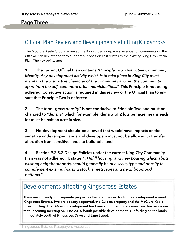**Page Three**

## Official Plan Review and Developments abutting Kingscross

The McClure Keele Group reviewed the Kingscross Ratepayers' Association comments on the Official Plan Review and they support our position as it relates to the existing King City Official Plan. The key points are:

**1. The current Official Plan contains** *"Principle Two: Distinctive Community Identity. Any development activity which is to take place in King City must maintain the distinctive character of the community and set the community apart from the adjacent more urban municipalities."* **This Principle is not being adhered. Corrective action is required in this review of the Official Plan to ensure that Principle Two is enforced.** 

**2. The term** *"gross density"* **is not conducive to Principle Two and must be changed to** *"density"* **which for example, density of 2 lots per acre means each lot must be half an acre in size.** 

**3. No development should be allowed that would have impacts on the sensitive undeveloped lands and developers must not be allowed to transfer allocation from sensitive lands to buildable lands.** 

**4. Section 9.2.5.2 Design Policies under the current King City Community Plan was not adhered. It states** *" i) Infill housing, and new housing which abuts existing neighbourhoods, should generally be of a scale, type and density to complement existing housing stock, streetscapes and neighbourhood patterns."*

# Developments affecting Kingscross Estates

**There are currently four separate properties that are planned for future development around Kingscross Estates. Two are already approved, the Culotta property and the McClure Keele Street infilling. The DiNardo development has been submitted for approval and has an important upcoming meeting on June 23. A fourth possible development is unfolding on the lands immediately south of Kingscross Drive and Jane Street.**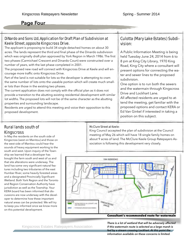## **Page Four**

### DiNardo and Sons Ltd, Application for Draft Plan of Subdivision at Keele Street, opposite Kingscross Drive.

The applicant is proposing to build 34 single detached homes on about 30 acres. The lands represent the third and final phase of the Dinardo subdivision which was originally draft plan approved by York Region in March 1986. The first two phases (Carmichael Crescent and Dinardo Court) were constructed over a number of years, with the last phase completed in 2001.

The proposed new road will connect with Kingscross Drive at Keele and will encourage more traffic onto Kingscross Drive.

Part of the land is not suitable for lots so the developer is attempting to cram the same number of lots onto the useable portion which will create much smaller lots than those in the existing two phases.

The current application does not comply with the official plan as it does not provide a transition to the abutting existing residential development with similar lot widths. The proposed lots will not be of the same character as the abutting properties and surrounding landscape.

Residents are urged to attend this meeting and voice their opposition to this proposed development.

### Culotta (Mary Lake Estates) Subdivision:

A Public Information Meeting is being held Tuesday June 24, 2014 from 6 to 8 pm at King City Library, 1970 King Road, King City where a consultant will present options for connecting the water and sewer lines to the proposed subdivision.

One option is to run both the sewers and the watermain through Kingscross Drive and Lockhart Lane.

All affected residents are urged to attend the meeting, get familiar with the proposed options and contact KERA or Ed Van Ginkel if interested in taking a position on this subject.

### Rural lands south of Kingscross

In May the residents on the south side of Kingscross (west on Manitou) and those on the west side of Manitou could hear the sounds of heavy equipment working to the south and west. Upon inquiry of the Township we learned that a developer has bought the farm south and west of us and that site alterations were underway. The land has some very significant natural features including two tributaries of the east Humber River, some heavily forested areas and a designated Provincially Significant Wetland. Both York Region and the Toronto and Region Conservation Authority have jurisdiction as well as the Township. Your KERA board has been informed that discussions are now underway with the developer to determine how these important natural areas can be protected. We will try to keep you informed once we know more on this potential development.

### McClure Street at Keele:

King Council accepted the plan of subdivision at the Council meeting of May 26 which will have 18 single family homes on about 9 acres of land. The McClure Keele Group Ratepayers Association is following this development very closely.



Kingscross Estates Ratepayers Association

*There is a lot of wetland that will be adversely affected if this watermain route is selected as a large marsh is fed by a stream crossing Lockhart. At this point the information available on these concerns is limited.*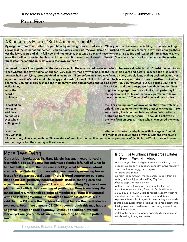**Page Five**

### 'A Kingscross Estates' Birth Announcement!

**My neighbour, Sue Theil, called this past Monday morning in an excited voice: "Nina, you won't believe what is lying on the interlocking sidewalk at the corner of our home". I couldn't guess...She said, "A fawn, Bambi"! I rushed over with my camera in tow; sure enough, there was the fawn, spots and all, in full view and not moving, eyes wide open and nose twitching. Bob, Sue and I watched from a distance. We knew the mother instructed her fawn not to move until she returned to feed it. We didn't interfere. But we all worried about the rainstorm forecast for that afternoon; what would the fawn do then?** 

**I returned to work in our garden as the clouds rolled in. The rain poured down and when it became a drizzle, l couldn't resist the temptation to see whether the fawn had taken shelter. Very quietly I made my way back to the Theils' side yard and before I reached the area where the fawn had been lying, I stopped dead in my tracks. There before me stood two fawns on very wobbly legs, sniffing each other, one nosing under the other's belly, no doubt hungry and looking for milk. Twins! I could not believe my eyes. I stood there, transfixed, but without a camera. Behind tall shrubs stood the mother, very alert and agitated and edging away. I quickly retreated, but as I backed up, I heard WARKSHIMS: Maw, Maw, Maw, Maw, Maw, Maw, Maw, and then a response from their mother. Now I** 

**sniffing each** other. *s* **sniffing each** other.

**know the origins of language....from our wildlife; just yesterday I amount of language....from our wildlife; just yesterday I heard a teenager call out for his mother in a supermarket," Maw, the analysis of the supermarket," Maw, could you please come here?"** Too much of a coincidence, I think.

**I** knocked on the Theils dining room window where they were watching **the Theils dining room window where they were watching the scene was excited as I. Bob in the scene unfold. They came to the side door, just as excited as I. Bob said they were having lunch on their balcony when Bob spotted a** *were having lunch on their balcony when Bob spotted a* **pair of legs pair of legs protruding from another shrub. He couldn't believe his eyes when** the twin fawn emerged. That is when I witnessed the twins **the twin fawn emerged. That is when I witnessed the twins** 

**Later that afternoon I spoke by telephone with Sue again. She said they watched the mother walk down their driveway with the little fawns** 

**following, very slowly and wobbly. They made a left turn into the tree line between the properties of the Balls and Theils. We will never see them again, but the memory will last forever.** 

## More Bees Dying

**Our resident beekeeper, Dr. Hans Martin, has again experienced a loss with his bees. He now has only two colonies left, half of what he had last fall. For him, the bees are a hobby; what he worries about are the large Ontario producers who have been experiencing heavy losses for the past several years. There is good supporting evidence that pesticides, primarily neonicotinoids, used in coating corn and soya bean seeds are the cause. The cornfields in King City have been planted and with it the spreading of pesticides. Bees travel long distances and return to their colonies contaminated. Hans is frustrated with the lack of government initiative to ban these chemicals. He said that the EU made the decision for a trial ban on the pesticides for two years, beginning January 01, 2014, even though this may have a negative impact on their economy. Without pollination, we will starve, yet our governments are not responding to save the pollinators.** 

#### Helpful Tips to Enhance Kingscross Estates and Prevent West Nile Virus

-retrieve recycle bins and garbage cans on a timely basis -inspect your property boundaries and driveways regularly to remove litter or soggy newspapers

-do 'Stoop and Scoop'

-maintain the community mailbox areas: refrain from discarding junk mail; just call the King City Post Office to stop junk mail delivery.

-for those resident living on roundabouts: feel free to remove litter or contact King Township Public Works at 905-833-5321 or KERA Board to report stagnant water, fallen or diseased trees, branches in the roundabouts -to prevent West Nile Virus, eliminate standing water to discourage mosquitoes from breeding; keep road ditches free of tall grasses and dead leaves to encourage water flow through the culverts

- install water aerators in ponds again, to discourage mosquito breeding in stagnant water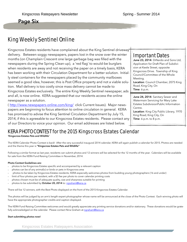**Page Six**

# King Weekly Sentinel Online

Kingscross Estates residents have complained about the King Sentinel driveway delivery. Between soggy newspapers, papers lost in the snow over the winter months (on Champlain Crescent one large garbage bag was filled with the newspapers during the Spring Clean-up), a 'red flag' to would-be burglars when residents are away and not receiving the paper on a timely basis, KERA has been working with their Circulation Department for a better solution. Initially steel containers for the newspapers placed by the community mailboxes seemed a good idea, however, this is Post Office property and not a viable solution. Mail delivery is too costly since mass delivery cannot be made to Kingscross Estates exclusively. The entire King Weekly Sentinel newspaper, ads and all, is now online. KERA suggested that our residents access the online newspaper as a solution.

( <http://www.newspapers-online.com/king/>click Current Issues). Major newspapers are beginning to focus attention to online circulation in general. KERA has promised to advise the King Sentinel Circulation Department by July 15, 2014, if this is agreeable to our Kingscross Estates residents. Please contact any of our Directors to voice your opinion. Our email addresses are listed below.

## Important Dates

**June 23, 2014**: DiNardo and Sons Ltd, Application for Draft Plan of Subdivision at Keele Street, opposite Kingscross Drive. Township of King Council/Committee of the Whole Meeting. **Location**: Council Chamber, 2075 King Road, King City, On **Time**: 6 p.m.

**June 24, 2014**: Sanitary Sewer and Watermain Servicing for Mary Lake Estates SubdivisionPublic Information Centre. **Location**: King City Public Library, 1970 King Road, King City, On **Time**: 6 p.m. to 8 p.m.

## KERA PHOTO CONTEST for the 2015 Kingscross Estates Calendar

#### **'Kingscross Estates Pets and Wildlife'**

The KERA Calendar Photo Contest is back! After the very successful inaugural 2014 calendar, KERA will again publish a calendar for 2015. Photos are needed and the theme this year is **"Kingscross Estates Pets and Wildlife"** 

Following a similar format as last year, residents can submit photos and 12 winners will be selected for the 12 months of the year. Calendars will be available for sale from the KERA Fund Raising Committee in November, 2014.

#### **Photo Contest Guidelines are:**

- photos to be Kingscross Estates specific and accompanied by a relevant caption
- photos can be of any animal(s) or birds or pets in Kingscross area
- photos to be taken by Kingscross Estates residents; KERA especially welcomes photos from budding young photographers (16 and under)
- limit of four photos per resident, with a \$3 fee per photo to cover calendar printing costs
- photos chosen must be of adequate quality, size and sharpness suitable for printing
- photos to be submitted by October 20, 2014 to: [ngraham@kera.ca](mailto:ngraham@kera.ca)

There will be 12 winners, with the Best Photo displayed on the front of the 2015 Kingscross Estates Calendar.

The photos will be judged by an arm's length expert photographer whose name will be announced at the close of the Photo Contest. Each winning photo will have the appropriate photographer credits and caption displayed.

The KERA Fund Raising Committee welcomes and would greatly appreciate any printing service donations and/or stationary. These donations would be gratefully acknowledged on the calendar. Please contact Nina Graham at [ngraham@kera.ca](mailto:ngraham@kera.ca)

#### **Start submitting photos now!**

Kingscross Estates Ratepayers Association